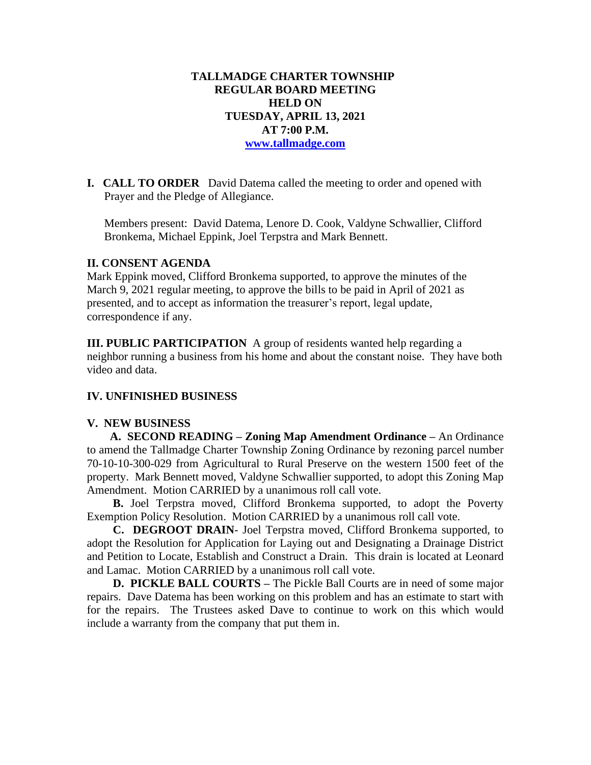# **TALLMADGE CHARTER TOWNSHIP REGULAR BOARD MEETING HELD ON TUESDAY, APRIL 13, 2021 AT 7:00 P.M. [www.tallmadge.com](http://www.tallmadge.com/)**

**I. CALL TO ORDER** David Datema called the meeting to order and opened with Prayer and the Pledge of Allegiance.

Members present: David Datema, Lenore D. Cook, Valdyne Schwallier, Clifford Bronkema, Michael Eppink, Joel Terpstra and Mark Bennett.

#### **II. CONSENT AGENDA**

Mark Eppink moved, Clifford Bronkema supported, to approve the minutes of the March 9, 2021 regular meeting, to approve the bills to be paid in April of 2021 as presented, and to accept as information the treasurer's report, legal update, correspondence if any.

**III. PUBLIC PARTICIPATION** A group of residents wanted help regarding a neighbor running a business from his home and about the constant noise. They have both video and data.

#### **IV. UNFINISHED BUSINESS**

#### **V. NEW BUSINESS**

 **A. SECOND READING – Zoning Map Amendment Ordinance –** An Ordinance to amend the Tallmadge Charter Township Zoning Ordinance by rezoning parcel number 70-10-10-300-029 from Agricultural to Rural Preserve on the western 1500 feet of the property. Mark Bennett moved, Valdyne Schwallier supported, to adopt this Zoning Map Amendment. Motion CARRIED by a unanimous roll call vote.

 **B.** Joel Terpstra moved, Clifford Bronkema supported, to adopt the Poverty Exemption Policy Resolution. Motion CARRIED by a unanimous roll call vote.

 **C. DEGROOT DRAIN**- Joel Terpstra moved, Clifford Bronkema supported, to adopt the Resolution for Application for Laying out and Designating a Drainage District and Petition to Locate, Establish and Construct a Drain. This drain is located at Leonard and Lamac. Motion CARRIED by a unanimous roll call vote.

 **D. PICKLE BALL COURTS –** The Pickle Ball Courts are in need of some major repairs. Dave Datema has been working on this problem and has an estimate to start with for the repairs. The Trustees asked Dave to continue to work on this which would include a warranty from the company that put them in.